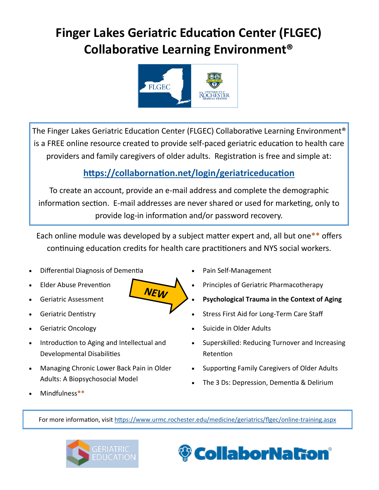# **Finger Lakes Geriatric Education Center (FLGEC) Collaborative Learning Environment®**



The Finger Lakes Geriatric Education Center (FLGEC) Collaborative Learning Environment® is a FREE online resource created to provide self-paced geriatric education to health care providers and family caregivers of older adults. Registration is free and simple at:

## **<https://collabornation.net/login/geriatriceducation>**

To create an account, provide an e-mail address and complete the demographic information section. E-mail addresses are never shared or used for marketing, only to provide log-in information and/or password recovery.

Each online module was developed by a subject matter expert and, all but one**\*\*** offers continuing education credits for health care practitioners and NYS social workers.

NEW

- Differential Diagnosis of Dementia
- Elder Abuse Prevention
- Geriatric Assessment
- Geriatric Dentistry
- Geriatric Oncology
- Introduction to Aging and Intellectual and Developmental Disabilities
- Managing Chronic Lower Back Pain in Older Adults: A Biopsychosocial Model
- Pain Self-Management
- Principles of Geriatric Pharmacotherapy
- **Psychological Trauma in the Context of Aging**
- Stress First Aid for Long-Term Care Staff
- Suicide in Older Adults
- Superskilled: Reducing Turnover and Increasing Retention
- Supporting Family Caregivers of Older Adults
- The 3 Ds: Depression, Dementia & Delirium

Mindfulness**\*\***

For more information, visit [https://www.urmc.rochester.edu/medicine/geriatrics/flgec/online](https://www.urmc.rochester.edu/medicine/geriatrics/flgec/online-training.aspx)-training.aspx